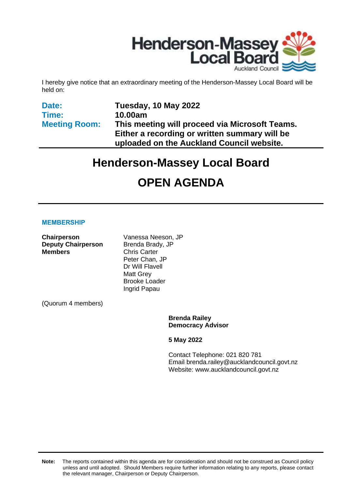

I hereby give notice that an extraordinary meeting of the Henderson-Massey Local Board will be held on:

**Date: Time: Meeting Room:** **Tuesday, 10 May 2022 10.00am This meeting will proceed via Microsoft Teams. Either a recording or written summary will be uploaded on the Auckland Council website.**

# **Henderson-Massey Local Board**

# **OPEN AGENDA**

#### **MEMBERSHIP**

| Chairperson<br><b>Deputy Chairperson</b> | Vanessa Neeson, JP<br>Brenda Brady, JP |  |  |  |  |
|------------------------------------------|----------------------------------------|--|--|--|--|
| <b>Members</b>                           | <b>Chris Carter</b><br>Peter Chan, JP  |  |  |  |  |
|                                          | Dr Will Flavell                        |  |  |  |  |
|                                          | <b>Matt Grey</b>                       |  |  |  |  |
|                                          | <b>Brooke Loader</b>                   |  |  |  |  |
|                                          | Ingrid Papau                           |  |  |  |  |
| (Quorum 4 members)                       |                                        |  |  |  |  |
|                                          | Brenda Raile                           |  |  |  |  |

ey **Democracy Advisor**

**5 May 2022**

Contact Telephone: 021 820 781 Email: brenda.railey@aucklandcouncil.govt.nz Website: www.aucklandcouncil.govt.nz

**Note:** The reports contained within this agenda are for consideration and should not be construed as Council policy unless and until adopted. Should Members require further information relating to any reports, please contact the relevant manager, Chairperson or Deputy Chairperson.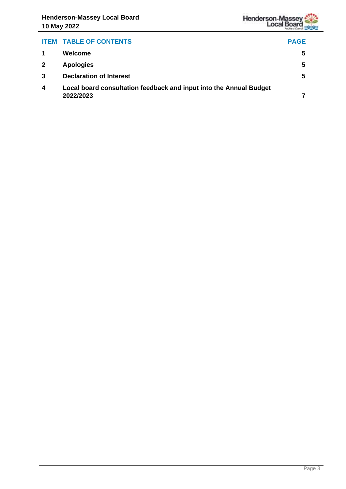

# **ITEM TABLE OF CONTENTS PAGE 1 Welcome [5](#page-4-0) 2 Apologies [5](#page-4-1) 3 Declaration of Interest [5](#page-4-2) 4 Local board consultation feedback and input into the Annual Budget 2022/2023 [7](#page-6-0)**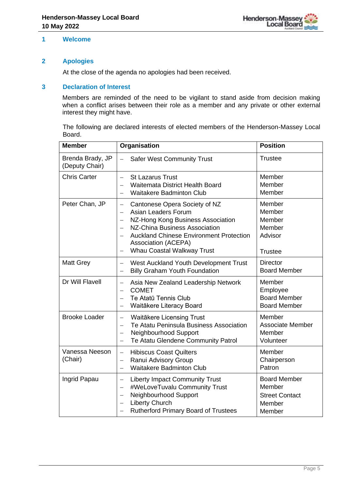

#### <span id="page-4-0"></span>**1 Welcome**

#### <span id="page-4-1"></span>**2 Apologies**

At the close of the agenda no apologies had been received.

#### <span id="page-4-2"></span>**3 Declaration of Interest**

Members are reminded of the need to be vigilant to stand aside from decision making when a conflict arises between their role as a member and any private or other external interest they might have.

The following are declared interests of elected members of the Henderson-Massey Local Board.

| <b>Member</b>                      | Organisation                                                                                                                                                                                                                                                                                                                                      | <b>Position</b>                                                            |  |
|------------------------------------|---------------------------------------------------------------------------------------------------------------------------------------------------------------------------------------------------------------------------------------------------------------------------------------------------------------------------------------------------|----------------------------------------------------------------------------|--|
| Brenda Brady, JP<br>(Deputy Chair) | <b>Safer West Community Trust</b><br>$\qquad \qquad -$                                                                                                                                                                                                                                                                                            | <b>Trustee</b>                                                             |  |
| <b>Chris Carter</b>                | <b>St Lazarus Trust</b><br>$\overline{\phantom{0}}$<br>Waitemata District Health Board<br>$\overline{\phantom{0}}$<br><b>Waitakere Badminton Club</b>                                                                                                                                                                                             | Member<br>Member<br>Member                                                 |  |
| Peter Chan, JP                     | Cantonese Opera Society of NZ<br>$\qquad \qquad -$<br>Asian Leaders Forum<br>$\overline{\phantom{0}}$<br>NZ-Hong Kong Business Association<br>$\overline{\phantom{0}}$<br>NZ-China Business Association<br><b>Auckland Chinese Environment Protection</b><br>Association (ACEPA)<br><b>Whau Coastal Walkway Trust</b><br>$\overline{\phantom{0}}$ | Member<br>Member<br>Member<br>Member<br>Advisor<br><b>Trustee</b>          |  |
| <b>Matt Grey</b>                   | West Auckland Youth Development Trust<br>$\overline{\phantom{0}}$<br><b>Billy Graham Youth Foundation</b><br>$\overline{\phantom{0}}$                                                                                                                                                                                                             | <b>Director</b><br><b>Board Member</b>                                     |  |
| Dr Will Flavell                    | Asia New Zealand Leadership Network<br>$\overline{\phantom{0}}$<br><b>COMET</b><br>$\equiv$<br>Te Atatū Tennis Club<br>Waitākere Literacy Board<br>$\overline{\phantom{0}}$                                                                                                                                                                       | Member<br>Employee<br><b>Board Member</b><br><b>Board Member</b>           |  |
| <b>Brooke Loader</b>               | Waitākere Licensing Trust<br>$\equiv$<br>Te Atatu Peninsula Business Association<br>Neighbourhood Support<br>$\overline{\phantom{m}}$<br>Te Atatu Glendene Community Patrol<br>$\overline{\phantom{0}}$                                                                                                                                           | Member<br><b>Associate Member</b><br>Member<br>Volunteer                   |  |
| Vanessa Neeson<br>(Chair)          | <b>Hibiscus Coast Quilters</b><br>$\qquad \qquad =$<br>Ranui Advisory Group<br><b>Waitakere Badminton Club</b>                                                                                                                                                                                                                                    | Member<br>Chairperson<br>Patron                                            |  |
| Ingrid Papau                       | <b>Liberty Impact Community Trust</b><br>$\equiv$<br>#WeLoveTuvalu Community Trust<br>$\overline{\phantom{0}}$<br>Neighbourhood Support<br>$\overline{\phantom{0}}$<br><b>Liberty Church</b><br><b>Rutherford Primary Board of Trustees</b><br>$\overline{\phantom{0}}$                                                                           | <b>Board Member</b><br>Member<br><b>Street Contact</b><br>Member<br>Member |  |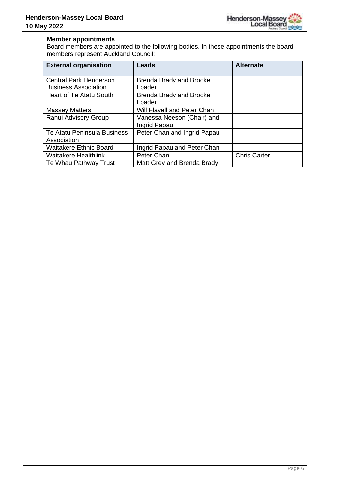

#### **Member appointments**

Board members are appointed to the following bodies. In these appointments the board members represent Auckland Council:

| <b>External organisation</b>   | Leads                          | <b>Alternate</b>    |
|--------------------------------|--------------------------------|---------------------|
| <b>Central Park Henderson</b>  | <b>Brenda Brady and Brooke</b> |                     |
| <b>Business Association</b>    | Loader                         |                     |
| <b>Heart of Te Atatu South</b> | <b>Brenda Brady and Brooke</b> |                     |
|                                | Loader                         |                     |
| <b>Massey Matters</b>          | Will Flavell and Peter Chan    |                     |
| Ranui Advisory Group           | Vanessa Neeson (Chair) and     |                     |
|                                | Ingrid Papau                   |                     |
| Te Atatu Peninsula Business    | Peter Chan and Ingrid Papau    |                     |
| Association                    |                                |                     |
| <b>Waitakere Ethnic Board</b>  | Ingrid Papau and Peter Chan    |                     |
| <b>Waitakere Healthlink</b>    | Peter Chan                     | <b>Chris Carter</b> |
| Te Whau Pathway Trust          | Matt Grey and Brenda Brady     |                     |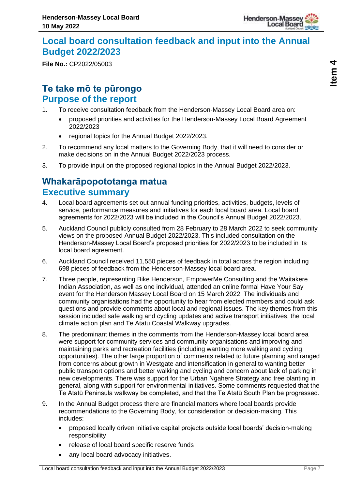

# <span id="page-6-0"></span>**Local board consultation feedback and input into the Annual Budget 2022/2023**

**File No.:** CP2022/05003

# **Te take mō te pūrongo Purpose of the report**

- 1. To receive consultation feedback from the Henderson-Massey Local Board area on:
	- proposed priorities and activities for the Henderson-Massey Local Board Agreement 2022/2023
	- regional topics for the Annual Budget 2022/2023.
- 2. To recommend any local matters to the Governing Body, that it will need to consider or make decisions on in the Annual Budget 2022/2023 process.
- 3. To provide input on the proposed regional topics in the Annual Budget 2022/2023.

# **Whakarāpopototanga matua Executive summary**

- 4. Local board agreements set out annual funding priorities, activities, budgets, levels of service, performance measures and initiatives for each local board area. Local board agreements for 2022/2023 will be included in the Council's Annual Budget 2022/2023.
- 5. Auckland Council publicly consulted from 28 February to 28 March 2022 to seek community views on the proposed Annual Budget 2022/2023. This included consultation on the Henderson-Massey Local Board's proposed priorities for 2022/2023 to be included in its local board agreement.
- 6. Auckland Council received 11,550 pieces of feedback in total across the region including 698 pieces of feedback from the Henderson-Massey local board area.
- 7. Three people, representing Bike Henderson, EmpowerMe Consulting and the Waitakere Indian Association, as well as one individual, attended an online formal Have Your Say event for the Henderson Massey Local Board on 15 March 2022. The individuals and community organisations had the opportunity to hear from elected members and could ask questions and provide comments about local and regional issues. The key themes from this session included safe walking and cycling updates and active transport initiatives, the local climate action plan and Te Atatu Coastal Walkway upgrades.
- 8. The predominant themes in the comments from the Henderson-Massey local board area were support for community services and community organisations and improving and maintaining parks and recreation facilities (including wanting more walking and cycling opportunities). The other large proportion of comments related to future planning and ranged from concerns about growth in Westgate and intensification in general to wanting better public transport options and better walking and cycling and concern about lack of parking in new developments. There was support for the Urban Ngahere Strategy and tree planting in general, along with support for environmental initiatives. Some comments requested that the Te Atatū Peninsula walkway be completed, and that the Te Atatū South Plan be progressed.
- 9. In the Annual Budget process there are financial matters where local boards provide recommendations to the Governing Body, for consideration or decision-making. This includes:
	- proposed locally driven initiative capital projects outside local boards' decision-making responsibility
	- release of local board specific reserve funds
	- any local board advocacy initiatives.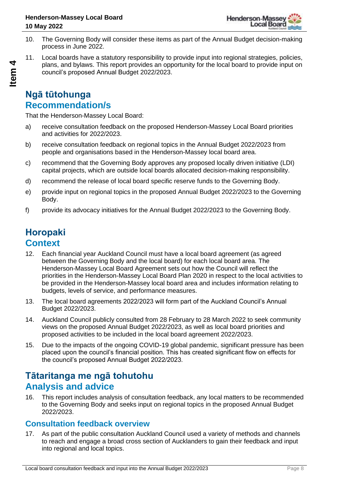- 10. The Governing Body will consider these items as part of the Annual Budget decision-making process in June 2022.
- 11. Local boards have a statutory responsibility to provide input into regional strategies, policies, plans, and bylaws. This report provides an opportunity for the local board to provide input on council's proposed Annual Budget 2022/2023.

# **Ngā tūtohunga Recommendation/s**

That the Henderson-Massey Local Board:

- a) receive consultation feedback on the proposed Henderson-Massey Local Board priorities and activities for 2022/2023.
- b) receive consultation feedback on regional topics in the Annual Budget 2022/2023 from people and organisations based in the Henderson-Massey local board area.
- c) recommend that the Governing Body approves any proposed locally driven initiative (LDI) capital projects, which are outside local boards allocated decision-making responsibility.
- d) recommend the release of local board specific reserve funds to the Governing Body.
- e) provide input on regional topics in the proposed Annual Budget 2022/2023 to the Governing Body.
- f) provide its advocacy initiatives for the Annual Budget 2022/2023 to the Governing Body.

# **Horopaki Context**

- 12. Each financial year Auckland Council must have a local board agreement (as agreed between the Governing Body and the local board) for each local board area. The Henderson-Massey Local Board Agreement sets out how the Council will reflect the priorities in the Henderson-Massey Local Board Plan 2020 in respect to the local activities to be provided in the Henderson-Massey local board area and includes information relating to budgets, levels of service, and performance measures.
- 13. The local board agreements 2022/2023 will form part of the Auckland Council's Annual Budget 2022/2023.
- 14. Auckland Council publicly consulted from 28 February to 28 March 2022 to seek community views on the proposed Annual Budget 2022/2023, as well as local board priorities and proposed activities to be included in the local board agreement 2022/2023.
- 15. Due to the impacts of the ongoing COVID-19 global pandemic, significant pressure has been placed upon the council's financial position. This has created significant flow on effects for the council's proposed Annual Budget 2022/2023.

# **Tātaritanga me ngā tohutohu Analysis and advice**

16. This report includes analysis of consultation feedback, any local matters to be recommended to the Governing Body and seeks input on regional topics in the proposed Annual Budget 2022/2023.

### **Consultation feedback overview**

17. As part of the public consultation Auckland Council used a variety of methods and channels to reach and engage a broad cross section of Aucklanders to gain their feedback and input into regional and local topics.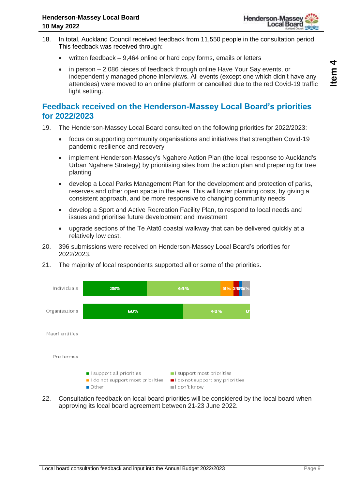

- 18. In total, Auckland Council received feedback from 11,550 people in the consultation period. This feedback was received through:
	- written feedback 9,464 online or hard copy forms, emails or letters
	- in person 2,086 pieces of feedback through online Have Your Say events, or independently managed phone interviews. All events (except one which didn't have any attendees) were moved to an online platform or cancelled due to the red Covid-19 traffic light setting.

## **Feedback received on the Henderson-Massey Local Board's priorities for 2022/2023**

- 19. The Henderson-Massey Local Board consulted on the following priorities for 2022/2023:
	- focus on supporting community organisations and initiatives that strengthen Covid-19 pandemic resilience and recovery
	- implement Henderson-Massey's Ngahere Action Plan (the local response to Auckland's Urban Ngahere Strategy) by prioritising sites from the action plan and preparing for tree planting
	- develop a Local Parks Management Plan for the development and protection of parks, reserves and other open space in the area. This will lower planning costs, by giving a consistent approach, and be more responsive to changing community needs
	- develop a Sport and Active Recreation Facility Plan, to respond to local needs and issues and prioritise future development and investment
	- upgrade sections of the Te Atatū coastal walkway that can be delivered quickly at a relatively low cost.
- 20. 396 submissions were received on Henderson-Massey Local Board's priorities for 2022/2023.
- 21. The majority of local respondents supported all or some of the priorities.



22. Consultation feedback on local board priorities will be considered by the local board when approving its local board agreement between 21-23 June 2022.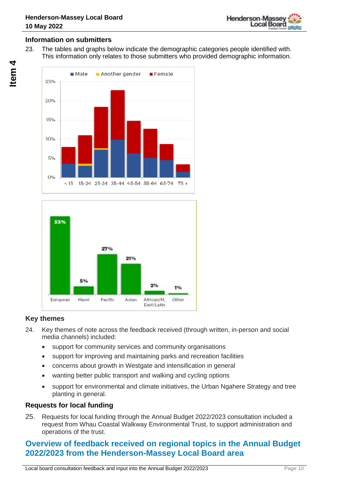

#### **Information on submitters**

23. The tables and graphs below indicate the demographic categories people identified with. This information only relates to those submitters who provided demographic information.





#### **Key themes**

- 24. Key themes of note across the feedback received (through written, in-person and social media channels) included:
	- support for community services and community organisations
	- support for improving and maintaining parks and recreation facilities
	- concerns about growth in Westgate and intensification in general
	- wanting better public transport and walking and cycling options
	- support for environmental and climate initiatives, the Urban Ngahere Strategy and tree planting in general.

#### **Requests for local funding**

25. Requests for local funding through the Annual Budget 2022/2023 consultation included a request from Whau Coastal Walkway Environmental Trust, to support administration and operations of the trust.

## **Overview of feedback received on regional topics in the Annual Budget 2022/2023 from the Henderson-Massey Local Board area**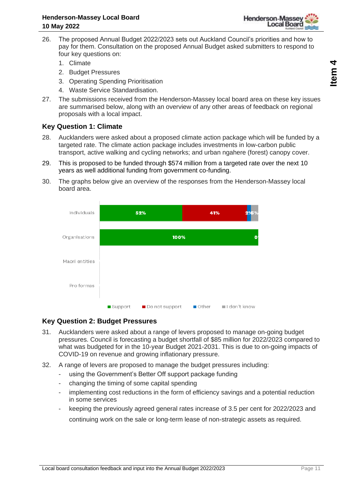

- 26. The proposed Annual Budget 2022/2023 sets out Auckland Council's priorities and how to pay for them. Consultation on the proposed Annual Budget asked submitters to respond to four key questions on:
	- 1. Climate
	- 2. Budget Pressures
	- 3. Operating Spending Prioritisation
	- 4. Waste Service Standardisation.
- 27. The submissions received from the Henderson-Massey local board area on these key issues are summarised below, along with an overview of any other areas of feedback on regional proposals with a local impact.

#### **Key Question 1: Climate**

- 28. Aucklanders were asked about a proposed climate action package which will be funded by a targeted rate. The climate action package includes investments in low-carbon public transport, active walking and cycling networks; and urban ngahere (forest) canopy cover.
- 29. This is proposed to be funded through \$574 million from a targeted rate over the next 10 years as well additional funding from government co-funding.
- 30. The graphs below give an overview of the responses from the Henderson-Massey local board area.



#### **Key Question 2: Budget Pressures**

- 31. Aucklanders were asked about a range of levers proposed to manage on-going budget pressures. Council is forecasting a budget shortfall of \$85 million for 2022/2023 compared to what was budgeted for in the 10-year Budget 2021-2031. This is due to on-going impacts of COVID-19 on revenue and growing inflationary pressure.
- 32. A range of levers are proposed to manage the budget pressures including:
	- using the Government's Better Off support package funding
	- changing the timing of some capital spending
	- implementing cost reductions in the form of efficiency savings and a potential reduction in some services
	- keeping the previously agreed general rates increase of 3.5 per cent for 2022/2023 and continuing work on the sale or long-term lease of non-strategic assets as required.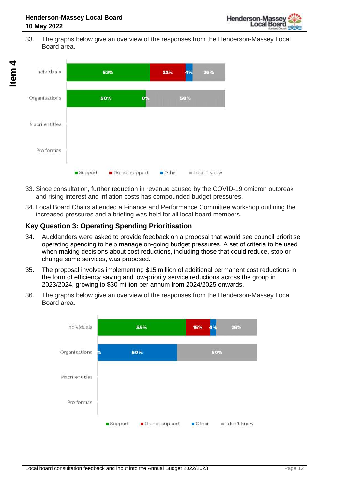33. The graphs below give an overview of the responses from the Henderson-Massey Local Board area.



- 33. Since consultation, further reduction in revenue caused by the COVID-19 omicron outbreak and rising interest and inflation costs has compounded budget pressures.
- 34. Local Board Chairs attended a Finance and Performance Committee workshop outlining the increased pressures and a briefing was held for all local board members.

## **Key Question 3: Operating Spending Prioritisation**

- 34. Aucklanders were asked to provide feedback on a proposal that would see council prioritise operating spending to help manage on-going budget pressures. A set of criteria to be used when making decisions about cost reductions, including those that could reduce, stop or change some services, was proposed.
- 35. The proposal involves implementing \$15 million of additional permanent cost reductions in the form of efficiency saving and low-priority service reductions across the group in 2023/2024, growing to \$30 million per annum from 2024/2025 onwards.
- 36. The graphs below give an overview of the responses from the Henderson-Massey Local Board area.

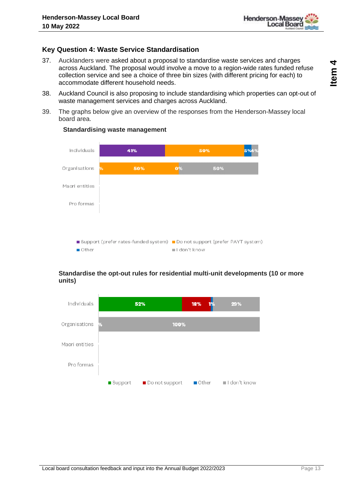

#### **Key Question 4: Waste Service Standardisation**

- 37. Aucklanders were asked about a proposal to standardise waste services and charges across Auckland. The proposal would involve a move to a region-wide rates funded refuse collection service and see a choice of three bin sizes (with different pricing for each) to accommodate different household needs.
- 38. Auckland Council is also proposing to include standardising which properties can opt-out of waste management services and charges across Auckland.
- 39. The graphs below give an overview of the responses from the Henderson-Massey local board area.



#### **Standardising waste management**

#### **Standardise the opt-out rules for residential multi-unit developments (10 or more units)**

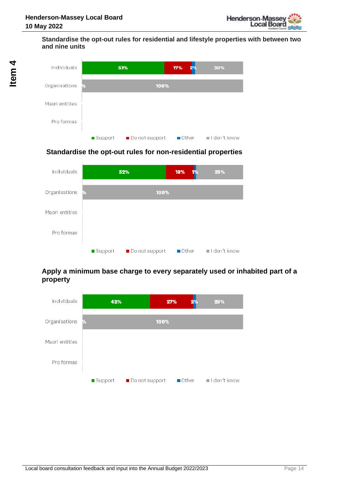#### **Standardise the opt-out rules for residential and lifestyle properties with between two and nine units**



#### **Standardise the opt-out rules for non-residential properties**



#### **Apply a minimum base charge to every separately used or inhabited part of a property**

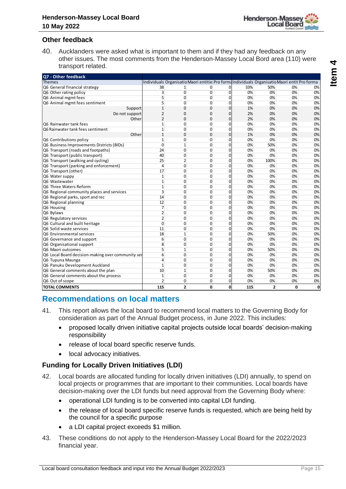

#### **Other feedback**

40. Aucklanders were asked what is important to them and if they had any feedback on any other issues. The most comments from the Henderson-Massey Local Bord area (110) were transport related.

| Q7 - Other feedback                                      |                                                                                                                                                                                                                                                                                                                                                                                                                        |                              |                   |                                                                                               |                               |          |                |          |          |
|----------------------------------------------------------|------------------------------------------------------------------------------------------------------------------------------------------------------------------------------------------------------------------------------------------------------------------------------------------------------------------------------------------------------------------------------------------------------------------------|------------------------------|-------------------|-----------------------------------------------------------------------------------------------|-------------------------------|----------|----------------|----------|----------|
| <b>Themes</b>                                            |                                                                                                                                                                                                                                                                                                                                                                                                                        |                              |                   | Individuals Organisatio Maori entitie: Pro formalndividuals Organisatio Maori entit Pro forma |                               |          |                |          |          |
| Q6 General financial strategy                            |                                                                                                                                                                                                                                                                                                                                                                                                                        | 38                           | $\mathbf{1}$      | 0                                                                                             | 0                             | 33%      | 50%            | 0%       | 0%       |
| Q6 Other rating policy                                   |                                                                                                                                                                                                                                                                                                                                                                                                                        | 3<br>5                       | $\overline{0}$    | 0                                                                                             | $\overline{0}$                | 0%       | 0%             | 0%       | 0%       |
| Q6 Animal mgmt fees                                      | Q6 Animal mgmt fees sentiment                                                                                                                                                                                                                                                                                                                                                                                          | 5                            | 0<br>0            | 0<br>0                                                                                        | 0<br>$\overline{0}$           | 0%<br>0% | 0%<br>0%       | 0%<br>0% | 0%<br>0% |
|                                                          | Support                                                                                                                                                                                                                                                                                                                                                                                                                | $\mathbf 1$                  | 0                 | 0                                                                                             | $\mathbf 0$                   | 1%       | 0%             | 0%       | 0%       |
|                                                          | Do not support                                                                                                                                                                                                                                                                                                                                                                                                         | 2                            | 0                 | 0                                                                                             | 0                             | 2%       | 0%             | 0%       | 0%       |
|                                                          | Other                                                                                                                                                                                                                                                                                                                                                                                                                  | 2                            | 0                 | 0                                                                                             | 0                             | 2%       | 0%             | 0%       | 0%       |
| Q6 Rainwater tank fees                                   |                                                                                                                                                                                                                                                                                                                                                                                                                        | $\mathbf{1}$                 | $\mathbf{0}$      | 0                                                                                             | 0                             | 0%       | 0%             | 0%       | 0%       |
|                                                          | Q6 Rainwater tank fees sentiment                                                                                                                                                                                                                                                                                                                                                                                       | $\mathbf{1}$                 | 0                 | 0                                                                                             | 0                             | 0%       | 0%             | 0%       | 0%       |
|                                                          | Other                                                                                                                                                                                                                                                                                                                                                                                                                  | $\mathbf 1$                  | 0                 | 0                                                                                             | 0                             | 1%       | 0%             | 0%       | 0%       |
| Q6 Contributions policy                                  | Q6 Business Improvements Districts (BIDs)                                                                                                                                                                                                                                                                                                                                                                              | $\mathbf{1}$<br>0            | 0<br>$\mathbf{1}$ | 0<br>0                                                                                        | 0<br>0                        | 0%<br>0% | 0%<br>50%      | 0%<br>0% | 0%<br>0% |
|                                                          | Q6 Transport (roads and footpaths)                                                                                                                                                                                                                                                                                                                                                                                     | 24                           | $\mathbf{0}$      | 0                                                                                             | $\mathbf 0$                   | 0%       | 0%             | 0%       | 0%       |
| Q6 Transport (public transport)                          |                                                                                                                                                                                                                                                                                                                                                                                                                        | 40                           | 0                 | 0                                                                                             | $\mathbf 0$                   | 0%       | 0%             | 0%       | 0%       |
|                                                          | Q6 Transport (walking and cycling)                                                                                                                                                                                                                                                                                                                                                                                     | 25                           | 2                 | 0                                                                                             | $\mathbf 0$                   | 0%       | 100%           | 0%       | 0%       |
|                                                          | Q6 Transport (parking and enforcement)                                                                                                                                                                                                                                                                                                                                                                                 | 4                            | $\mathbf{0}$      | 0                                                                                             | $\mathbf 0$                   | 0%       | 0%             | 0%       | 0%       |
| Q6 Transport (other)                                     |                                                                                                                                                                                                                                                                                                                                                                                                                        | 17                           | $\mathbf{0}$      | 0                                                                                             | $\mathbf 0$                   | 0%       | 0%             | 0%       | 0%       |
| Q6 Water suppy                                           |                                                                                                                                                                                                                                                                                                                                                                                                                        | $\mathbf{1}$                 | $\mathbf{0}$      | 0                                                                                             | $\mathbf 0$                   | 0%       | 0%             | 0%       | 0%       |
| Q6 Wastewater<br>Q6 Three Waters Reform                  |                                                                                                                                                                                                                                                                                                                                                                                                                        | $\mathbf{1}$<br>$\mathbf{1}$ | 0<br>$\mathbf{0}$ | 0<br>0                                                                                        | $\mathbf 0$<br>$\mathbf 0$    | 0%<br>0% | 0%<br>0%       | 0%<br>0% | 0%<br>0% |
|                                                          | Q6 Regional community places and services                                                                                                                                                                                                                                                                                                                                                                              | 3                            | 0                 | 0                                                                                             | $\mathbf 0$                   | 0%       | 0%             | 0%       | 0%       |
|                                                          | Q6 Regional parks, sport and rec                                                                                                                                                                                                                                                                                                                                                                                       | 14                           | $\mathbf{0}$      | 0                                                                                             | $\mathbf 0$                   | 0%       | 0%             | 0%       | 0%       |
| Q6 Regional planning                                     |                                                                                                                                                                                                                                                                                                                                                                                                                        | 12                           | 0                 | 0                                                                                             | $\mathbf 0$                   | 0%       | 0%             | 0%       | 0%       |
| Q6 Housing                                               |                                                                                                                                                                                                                                                                                                                                                                                                                        | 7                            | $\mathbf{0}$      | 0                                                                                             | $\mathbf 0$                   | 0%       | 0%             | 0%       | 0%       |
| Q6 Bylaws                                                |                                                                                                                                                                                                                                                                                                                                                                                                                        | $\overline{2}$               | $\mathbf{0}$      | 0                                                                                             | $\mathbf 0$                   | 0%       | 0%             | 0%       | 0%       |
| Q6 Regulatory services                                   |                                                                                                                                                                                                                                                                                                                                                                                                                        | $\overline{2}$               | $\mathbf{0}$      | 0                                                                                             | $\overline{0}$                | 0%       | 0%             | 0%       | 0%       |
| Q6 Cultural and built heritage                           |                                                                                                                                                                                                                                                                                                                                                                                                                        | 0                            | $\mathbf{0}$      | 0                                                                                             | $\mathbf 0$                   | 0%       | 0%             | 0%       | 0%       |
| Q6 Solid waste services<br>Q6 Environmental services     |                                                                                                                                                                                                                                                                                                                                                                                                                        | 11<br>18                     | 0<br>$\mathbf{1}$ | 0<br>0                                                                                        | $\overline{0}$<br>$\mathbf 0$ | 0%<br>0% | 0%<br>50%      | 0%<br>0% | 0%<br>0% |
| Q6 Governance and support                                |                                                                                                                                                                                                                                                                                                                                                                                                                        | 6                            | $\mathbf{0}$      | 0                                                                                             | $\mathbf 0$                   | 0%       | 0%             | 0%       | 0%       |
| Q6 Organisational support                                |                                                                                                                                                                                                                                                                                                                                                                                                                        | 8                            | 0                 | 0                                                                                             | $\mathbf 0$                   | 0%       | 0%             | 0%       | 0%       |
| Q6 Maori outcomes                                        |                                                                                                                                                                                                                                                                                                                                                                                                                        | 5                            | $\mathbf{1}$      | 0                                                                                             | $\mathbf 0$                   | 0%       | 50%            | 0%       | 0%       |
|                                                          | Q6 Local Board decision-making over community ser                                                                                                                                                                                                                                                                                                                                                                      | 6                            | $\mathbf{0}$      | 0                                                                                             | 0                             | 0%       | 0%             | 0%       | 0%       |
| Q6 Tupuna Maunga                                         |                                                                                                                                                                                                                                                                                                                                                                                                                        | 4                            | $\mathbf{0}$      | 0                                                                                             | 0                             | 0%       | 0%             | 0%       | 0%       |
|                                                          | Q6 Panuku Development Auckland                                                                                                                                                                                                                                                                                                                                                                                         | $\mathbf{1}$                 | 0                 | 0                                                                                             | 0                             | 0%       | 0%             | 0%       | 0%       |
|                                                          | Q6 General comments about the plan                                                                                                                                                                                                                                                                                                                                                                                     | 10                           | $\mathbf{1}$      | 0                                                                                             | 0                             | 0%       | 50%            | 0%       | 0%       |
| Q6 General comments about the process<br>Q6 Out of scope |                                                                                                                                                                                                                                                                                                                                                                                                                        | $\mathbf{1}$<br>2            | 0<br>0            | 0<br>0                                                                                        | 0<br>0                        | 0%<br>0% | 0%<br>0%       | 0%<br>0% | 0%<br>0% |
| <b>TOTAL COMMENTS</b>                                    |                                                                                                                                                                                                                                                                                                                                                                                                                        | 115                          | $\overline{2}$    | 0                                                                                             | $\mathbf{0}$                  | 115      | $\overline{2}$ | 0        | 0        |
|                                                          |                                                                                                                                                                                                                                                                                                                                                                                                                        |                              |                   |                                                                                               |                               |          |                |          |          |
| 41.<br>$\bullet$                                         | <b>Recommendations on local matters</b><br>This report allows the local board to recommend local matters to the Governing Body for<br>consideration as part of the Annual Budget process, in June 2022. This includes:<br>proposed locally driven initiative capital projects outside local boards' decision-making<br>responsibility<br>release of local board specific reserve funds.<br>local advocacy initiatives. |                              |                   |                                                                                               |                               |          |                |          |          |
|                                                          | <b>Funding for Locally Driven Initiatives (LDI)</b>                                                                                                                                                                                                                                                                                                                                                                    |                              |                   |                                                                                               |                               |          |                |          |          |
| 42.                                                      | Local boards are allocated funding for locally driven initiatives (LDI) annually, to spend on<br>local projects or programmes that are important to their communities. Local boards have<br>decision-making over the LDI funds but need approval from the Governing Body where:                                                                                                                                        |                              |                   |                                                                                               |                               |          |                |          |          |
|                                                          | operational LDI funding is to be converted into capital LDI funding.                                                                                                                                                                                                                                                                                                                                                   |                              |                   |                                                                                               |                               |          |                |          |          |
|                                                          | the release of local board specific reserve funds is requested, which are being held by<br>the council for a specific purpose                                                                                                                                                                                                                                                                                          |                              |                   |                                                                                               |                               |          |                |          |          |
|                                                          | a LDI capital project exceeds \$1 million.                                                                                                                                                                                                                                                                                                                                                                             |                              |                   |                                                                                               |                               |          |                |          |          |
| 43.                                                      | These conditions do not apply to the Henderson-Massey Local Board for the 2022/2023<br>financial year.                                                                                                                                                                                                                                                                                                                 |                              |                   |                                                                                               |                               |          |                |          |          |

### **Recommendations on local matters**

- 41. This report allows the local board to recommend local matters to the Governing Body for consideration as part of the Annual Budget process, in June 2022. This includes:
	- proposed locally driven initiative capital projects outside local boards' decision-making responsibility
	- release of local board specific reserve funds.
	- local advocacy initiatives.

#### **Funding for Locally Driven Initiatives (LDI)**

- 42. Local boards are allocated funding for locally driven initiatives (LDI) annually, to spend on local projects or programmes that are important to their communities. Local boards have decision-making over the LDI funds but need approval from the Governing Body where:
	- operational LDI funding is to be converted into capital LDI funding.
	- the release of local board specific reserve funds is requested, which are being held by the council for a specific purpose
	- a LDI capital project exceeds \$1 million.
- 43. These conditions do not apply to the Henderson-Massey Local Board for the 2022/2023 financial year.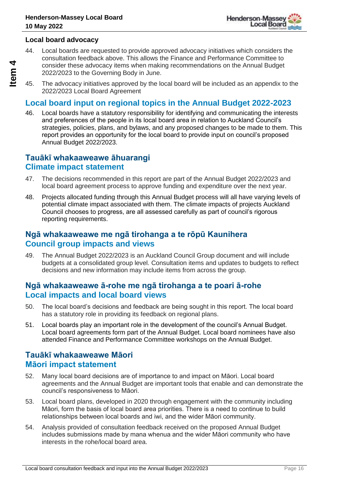

#### **Local board advocacy**

44. Local boards are requested to provide approved advocacy initiatives which considers the consultation feedback above. This allows the Finance and Performance Committee to consider these advocacy items when making recommendations on the Annual Budget 2022/2023 to the Governing Body in June.

45. The advocacy initiatives approved by the local board will be included as an appendix to the 2022/2023 Local Board Agreement

### **Local board input on regional topics in the Annual Budget 2022-2023**

46. Local boards have a statutory responsibility for identifying and communicating the interests and preferences of the people in its local board area in relation to Auckland Council's strategies, policies, plans, and bylaws, and any proposed changes to be made to them. This report provides an opportunity for the local board to provide input on council's proposed Annual Budget 2022/2023.

### **Tauākī whakaaweawe āhuarangi Climate impact statement**

- 47. The decisions recommended in this report are part of the Annual Budget 2022/2023 and local board agreement process to approve funding and expenditure over the next year.
- 48. Projects allocated funding through this Annual Budget process will all have varying levels of potential climate impact associated with them. The climate impacts of projects Auckland Council chooses to progress, are all assessed carefully as part of council's rigorous reporting requirements.

### **Ngā whakaaweawe me ngā tirohanga a te rōpū Kaunihera Council group impacts and views**

49. The Annual Budget 2022/2023 is an Auckland Council Group document and will include budgets at a consolidated group level. Consultation items and updates to budgets to reflect decisions and new information may include items from across the group.

### **Ngā whakaaweawe ā-rohe me ngā tirohanga a te poari ā-rohe Local impacts and local board views**

- 50. The local board's decisions and feedback are being sought in this report. The local board has a statutory role in providing its feedback on regional plans.
- 51. Local boards play an important role in the development of the council's Annual Budget. Local board agreements form part of the Annual Budget. Local board nominees have also attended Finance and Performance Committee workshops on the Annual Budget.

### **Tauākī whakaaweawe Māori Māori impact statement**

- 52. Many local board decisions are of importance to and impact on Māori. Local board agreements and the Annual Budget are important tools that enable and can demonstrate the council's responsiveness to Māori.
- 53. Local board plans, developed in 2020 through engagement with the community including Māori, form the basis of local board area priorities. There is a need to continue to build relationships between local boards and iwi, and the wider Māori community.
- 54. Analysis provided of consultation feedback received on the proposed Annual Budget includes submissions made by mana whenua and the wider Māori community who have interests in the rohe/local board area.